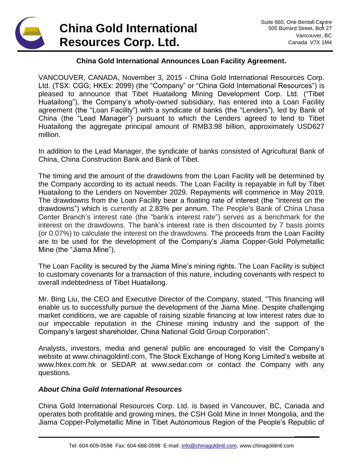## **China Gold International Resources Corp. Ltd.**

**\_\_\_\_\_\_**

## **China Gold International Announces Loan Facility Agreement.**

VANCOUVER, CANADA, November 3, 2015 - China Gold International Resources Corp. Ltd. (TSX: CGG; HKEx: 2099) (the "Company" or "China Gold International Resources") is pleased to announce that Tibet Huatailong Mining Development Corp. Ltd. ("Tibet Huatailong"), the Company's wholly-owned subsidiary, has entered into a Loan Facility agreement (the "Loan Facility") with a syndicate of banks (the "Lenders"), led by Bank of China (the "Lead Manager") pursuant to which the Lenders agreed to lend to Tibet Huatailong the aggregate principal amount of RMB3.98 billion, approximately USD627 million.

In addition to the Lead Manager, the syndicate of banks consisted of Agricultural Bank of China, China Construction Bank and Bank of Tibet.

The timing and the amount of the drawdowns from the Loan Facility will be determined by the Company according to its actual needs. The Loan Facility is repayable in full by Tibet Huatailong to the Lenders on November 2029. Repayments will commence in May 2019. The drawdowns from the Loan Facility bear a floating rate of interest (the "interest on the drawdowns") which is currently at 2.83% per annum. The People's Bank of China Lhasa Center Branch's interest rate (the "bank's interest rate") serves as a benchmark for the interest on the drawdowns. The bank's interest rate is then discounted by 7 basis points (or 0.07%) to calculate the interest on the drawdowns. The proceeds from the Loan Facility are to be used for the development of the Company's Jiama Copper-Gold Polymetallic Mine (the "Jiama Mine").

The Loan Facility is secured by the Jiama Mine's mining rights. The Loan Facility is subject to customary covenants for a transaction of this nature, including covenants with respect to overall indebtedness of Tibet Huatailong.

Mr. Bing Liu, the CEO and Executive Director of the Company, stated, "This financing will enable us to successfully pursue the development of the Jiama Mine. Despite challenging market conditions, we are capable of raising sizable financing at low interest rates due to our impeccable reputation in the Chinese mining industry and the support of the Company's largest shareholder, China National Gold Group Corporation".

Analysts, investors, media and general public are encouraged to visit the Company's website at [www.chinagoldintl.com,](http://www.chinagoldintl.com/) The Stock Exchange of Hong Kong Limited's website at www.hkex.com.hk or SEDAR at [www.sedar.com](http://www.sedar.com/) or contact the Company with any questions.

## *About China Gold International Resources*

China Gold International Resources Corp. Ltd. is based in Vancouver, BC, Canada and operates both profitable and growing mines, the CSH Gold Mine in Inner Mongolia, and the Jiama Copper-Polymetallic Mine in Tibet Autonomous Region of the People's Republic of